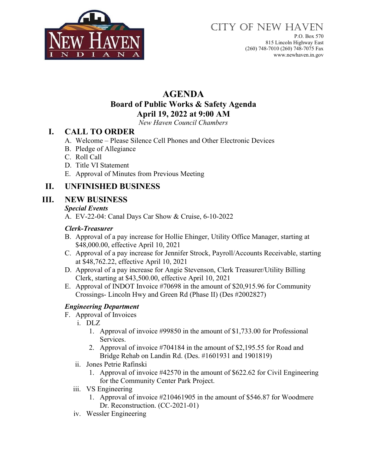

P.O. Box 570 815 Lincoln Highway East (260) 748-7010 (260) 748-7075 Fax www.newhaven.in.gov

# **AGENDA Board of Public Works & Safety Agenda April 19, 2022 at 9:00 AM**

*New Haven Council Chambers*

## **I. CALL TO ORDER**

- A. Welcome Please Silence Cell Phones and Other Electronic Devices
- B. Pledge of Allegiance
- C. Roll Call
- D. Title VI Statement
- E. Approval of Minutes from Previous Meeting

## **II. UNFINISHED BUSINESS**

### **III. NEW BUSINESS**

#### *Special Events*

A. EV-22-04: Canal Days Car Show & Cruise, 6-10-2022

#### *Clerk-Treasurer*

- B. Approval of a pay increase for Hollie Ehinger, Utility Office Manager, starting at \$48,000.00, effective April 10, 2021
- C. Approval of a pay increase for Jennifer Strock, Payroll/Accounts Receivable, starting at \$48,762.22, effective April 10, 2021
- D. Approval of a pay increase for Angie Stevenson, Clerk Treasurer/Utility Billing Clerk, starting at \$43,500.00, effective April 10, 2021
- E. Approval of INDOT Invoice #70698 in the amount of \$20,915.96 for Community Crossings- Lincoln Hwy and Green Rd (Phase II) (Des #2002827)

#### *Engineering Department*

- F. Approval of Invoices
	- i. DLZ
		- 1. Approval of invoice #99850 in the amount of \$1,733.00 for Professional Services.
		- 2. Approval of invoice #704184 in the amount of \$2,195.55 for Road and Bridge Rehab on Landin Rd. (Des. #1601931 and 1901819)
	- ii. Jones Petrie Rafinski
		- 1. Approval of invoice #42570 in the amount of \$622.62 for Civil Engineering for the Community Center Park Project.
	- iii. VS Engineering
		- 1. Approval of invoice #210461905 in the amount of \$546.87 for Woodmere Dr. Reconstruction. (CC-2021-01)
	- iv. Wessler Engineering